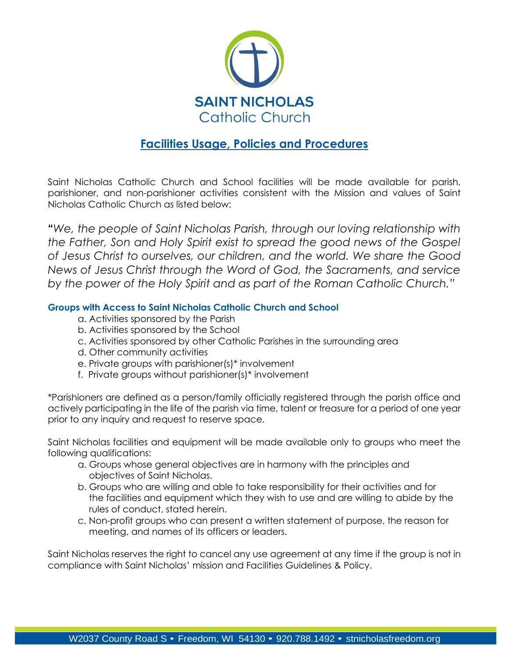

# **Facilities Usage, Policies and Procedures**

Saint Nicholas Catholic Church and School facilities will be made available for parish, parishioner, and non-parishioner activities consistent with the Mission and values of Saint Nicholas Catholic Church as listed below:

**"***We, the people of Saint Nicholas Parish, through our loving relationship with the Father, Son and Holy Spirit exist to spread the good news of the Gospel of Jesus Christ to ourselves, our children, and the world. We share the Good News of Jesus Christ through the Word of God, the Sacraments, and service by the power of the Holy Spirit and as part of the Roman Catholic Church."*

# **Groups with Access to Saint Nicholas Catholic Church and School**

- a. Activities sponsored by the Parish
- b. Activities sponsored by the School
- c. Activities sponsored by other Catholic Parishes in the surrounding area
- d. Other community activities
- e. Private groups with parishioner(s)\* involvement
- f. Private groups without parishioner(s)\* involvement

\*Parishioners are defined as a person/family officially registered through the parish office and actively participating in the life of the parish via time, talent or treasure for a period of one year prior to any inquiry and request to reserve space.

Saint Nicholas facilities and equipment will be made available only to groups who meet the following qualifications:

- a. Groups whose general objectives are in harmony with the principles and objectives of Saint Nicholas.
- b. Groups who are willing and able to take responsibility for their activities and for the facilities and equipment which they wish to use and are willing to abide by the rules of conduct, stated herein.
- c. Non-profit groups who can present a written statement of purpose, the reason for meeting, and names of its officers or leaders.

Saint Nicholas reserves the right to cancel any use agreement at any time if the group is not in compliance with Saint Nicholas' mission and Facilities Guidelines & Policy.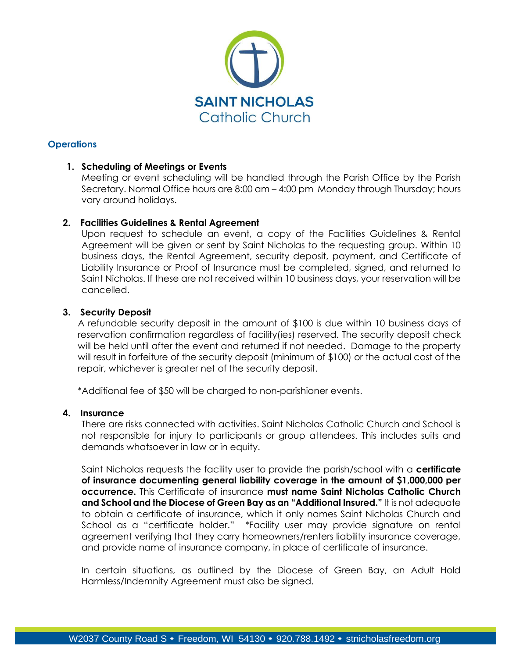

## **Operations**

#### **1. Scheduling of Meetings or Events**

Meeting or event scheduling will be handled through the Parish Office by the Parish Secretary. Normal Office hours are 8:00 am – 4:00 pm Monday through Thursday; hours vary around holidays.

## **2. Facilities Guidelines & Rental Agreement**

Upon request to schedule an event, a copy of the Facilities Guidelines & Rental Agreement will be given or sent by Saint Nicholas to the requesting group. Within 10 business days, the Rental Agreement, security deposit, payment, and Certificate of Liability Insurance or Proof of Insurance must be completed, signed, and returned to Saint Nicholas. If these are not received within 10 business days, your reservation will be cancelled.

#### **3. Security Deposit**

A refundable security deposit in the amount of \$100 is due within 10 business days of reservation confirmation regardless of facility(ies) reserved. The security deposit check will be held until after the event and returned if not needed. Damage to the property will result in forfeiture of the security deposit (minimum of \$100) or the actual cost of the repair, whichever is greater net of the security deposit.

\*Additional fee of \$50 will be charged to non-parishioner events.

#### **4. Insurance**

There are risks connected with activities. Saint Nicholas Catholic Church and School is not responsible for injury to participants or group attendees. This includes suits and demands whatsoever in law or in equity.

Saint Nicholas requests the facility user to provide the parish/school with a **certificate of insurance documenting general liability coverage in the amount of \$1,000,000 per occurrence.** This Certificate of insurance **must name Saint Nicholas Catholic Church and School and the Diocese of Green Bay as an "Additional Insured."** It is not adequate to obtain a certificate of insurance, which it only names Saint Nicholas Church and School as a "certificate holder." \*Facility user may provide signature on rental agreement verifying that they carry homeowners/renters liability insurance coverage, and provide name of insurance company, in place of certificate of insurance.

In certain situations, as outlined by the Diocese of Green Bay, an Adult Hold Harmless/Indemnity Agreement must also be signed.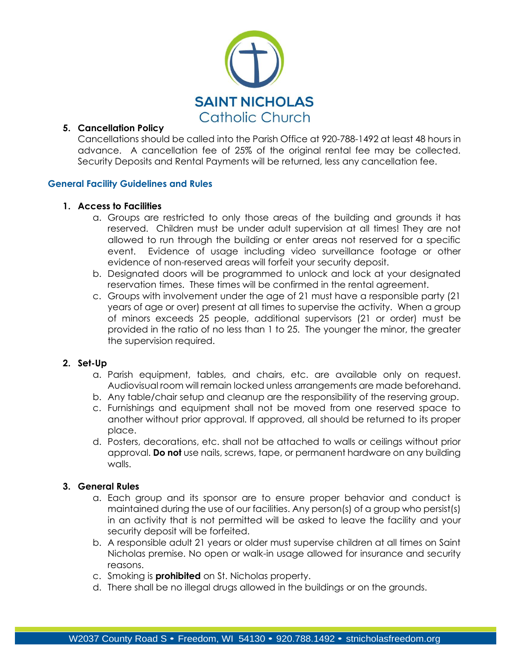

## **5. Cancellation Policy**

Cancellations should be called into the Parish Office at 920-788-1492 at least 48 hours in advance. A cancellation fee of 25% of the original rental fee may be collected. Security Deposits and Rental Payments will be returned, less any cancellation fee.

#### **General Facility Guidelines and Rules**

#### **1. Access to Facilities**

- a. Groups are restricted to only those areas of the building and grounds it has reserved. Children must be under adult supervision at all times! They are not allowed to run through the building or enter areas not reserved for a specific event. Evidence of usage including video surveillance footage or other evidence of non-reserved areas will forfeit your security deposit.
- b. Designated doors will be programmed to unlock and lock at your designated reservation times. These times will be confirmed in the rental agreement.
- c. Groups with involvement under the age of 21 must have a responsible party (21 years of age or over) present at all times to supervise the activity. When a group of minors exceeds 25 people, additional supervisors (21 or order) must be provided in the ratio of no less than 1 to 25. The younger the minor, the greater the supervision required.

#### **2. Set-Up**

- a. Parish equipment, tables, and chairs, etc. are available only on request. Audiovisual room will remain locked unless arrangements are made beforehand.
- b. Any table/chair setup and cleanup are the responsibility of the reserving group.
- c. Furnishings and equipment shall not be moved from one reserved space to another without prior approval. If approved, all should be returned to its proper place.
- d. Posters, decorations, etc. shall not be attached to walls or ceilings without prior approval. **Do not** use nails, screws, tape, or permanent hardware on any building walls.

# **3. General Rules**

- a. Each group and its sponsor are to ensure proper behavior and conduct is maintained during the use of our facilities. Any person(s) of a group who persist(s) in an activity that is not permitted will be asked to leave the facility and your security deposit will be forfeited.
- b. A responsible adult 21 years or older must supervise children at all times on Saint Nicholas premise. No open or walk-in usage allowed for insurance and security reasons.
- c. Smoking is **prohibited** on St. Nicholas property.
- d. There shall be no illegal drugs allowed in the buildings or on the grounds.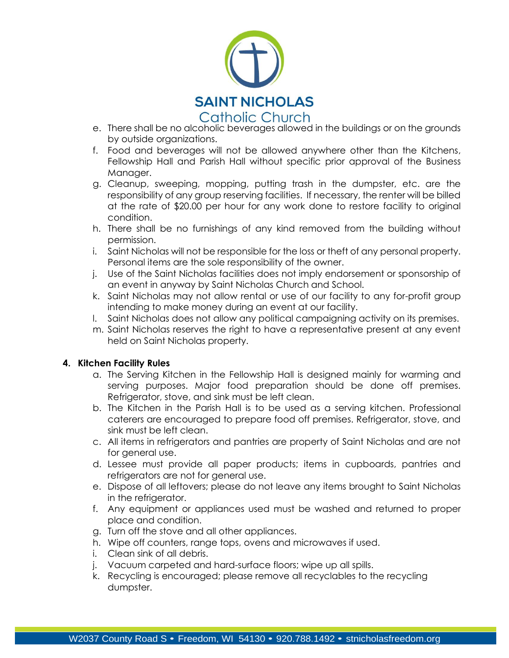

- e. There shall be no alcoholic beverages allowed in the buildings or on the grounds by outside organizations.
- f. Food and beverages will not be allowed anywhere other than the Kitchens, Fellowship Hall and Parish Hall without specific prior approval of the Business Manager.
- g. Cleanup, sweeping, mopping, putting trash in the dumpster, etc. are the responsibility of any group reserving facilities. If necessary, the renter will be billed at the rate of \$20.00 per hour for any work done to restore facility to original condition.
- h. There shall be no furnishings of any kind removed from the building without permission.
- i. Saint Nicholas will not be responsible for the loss or theft of any personal property. Personal items are the sole responsibility of the owner.
- j. Use of the Saint Nicholas facilities does not imply endorsement or sponsorship of an event in anyway by Saint Nicholas Church and School.
- k. Saint Nicholas may not allow rental or use of our facility to any for-profit group intending to make money during an event at our facility.
- l. Saint Nicholas does not allow any political campaigning activity on its premises.
- m. Saint Nicholas reserves the right to have a representative present at any event held on Saint Nicholas property.

#### **4. Kitchen Facility Rules**

- a. The Serving Kitchen in the Fellowship Hall is designed mainly for warming and serving purposes. Major food preparation should be done off premises. Refrigerator, stove, and sink must be left clean.
- b. The Kitchen in the Parish Hall is to be used as a serving kitchen. Professional caterers are encouraged to prepare food off premises. Refrigerator, stove, and sink must be left clean.
- c. All items in refrigerators and pantries are property of Saint Nicholas and are not for general use.
- d. Lessee must provide all paper products; items in cupboards, pantries and refrigerators are not for general use.
- e. Dispose of all leftovers; please do not leave any items brought to Saint Nicholas in the refrigerator.
- f. Any equipment or appliances used must be washed and returned to proper place and condition.
- g. Turn off the stove and all other appliances.
- h. Wipe off counters, range tops, ovens and microwaves if used.
- i. Clean sink of all debris.
- j. Vacuum carpeted and hard-surface floors; wipe up all spills.
- k. Recycling is encouraged; please remove all recyclables to the recycling dumpster.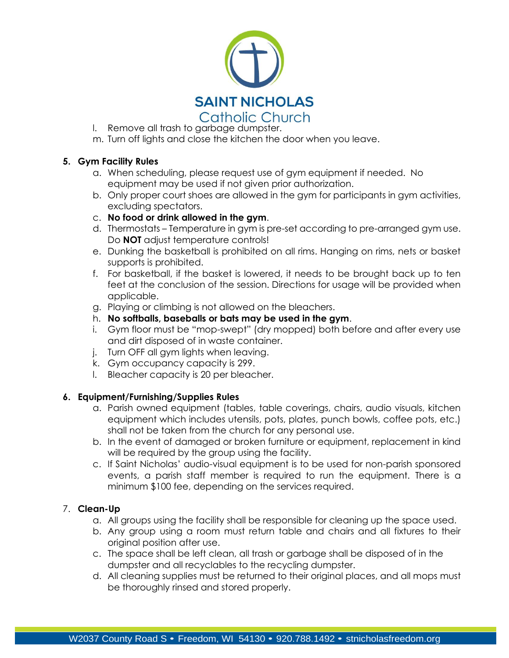

- l. Remove all trash to garbage dumpster.
- m. Turn off lights and close the kitchen the door when you leave.

#### **5. Gym Facility Rules**

- a. When scheduling, please request use of gym equipment if needed. No equipment may be used if not given prior authorization.
- b. Only proper court shoes are allowed in the gym for participants in gym activities, excluding spectators.
- c. **No food or drink allowed in the gym**.
- d. Thermostats Temperature in gym is pre-set according to pre-arranged gym use. Do **NOT** adjust temperature controls!
- e. Dunking the basketball is prohibited on all rims. Hanging on rims, nets or basket supports is prohibited.
- f. For basketball, if the basket is lowered, it needs to be brought back up to ten feet at the conclusion of the session. Directions for usage will be provided when applicable.
- g. Playing or climbing is not allowed on the bleachers.
- h. **No softballs, baseballs or bats may be used in the gym**.
- i. Gym floor must be "mop-swept" (dry mopped) both before and after every use and dirt disposed of in waste container.
- j. Turn OFF all gym lights when leaving.
- k. Gym occupancy capacity is 299.
- l. Bleacher capacity is 20 per bleacher.

# **6. Equipment/Furnishing/Supplies Rules**

- a. Parish owned equipment (tables, table coverings, chairs, audio visuals, kitchen equipment which includes utensils, pots, plates, punch bowls, coffee pots, etc.) shall not be taken from the church for any personal use.
- b. In the event of damaged or broken furniture or equipment, replacement in kind will be required by the group using the facility.
- c. If Saint Nicholas' audio-visual equipment is to be used for non-parish sponsored events, a parish staff member is required to run the equipment. There is a minimum \$100 fee, depending on the services required.

# 7. **Clean-Up**

- a. All groups using the facility shall be responsible for cleaning up the space used.
- b. Any group using a room must return table and chairs and all fixtures to their original position after use.
- c. The space shall be left clean, all trash or garbage shall be disposed of in the dumpster and all recyclables to the recycling dumpster.
- d. All cleaning supplies must be returned to their original places, and all mops must be thoroughly rinsed and stored properly.